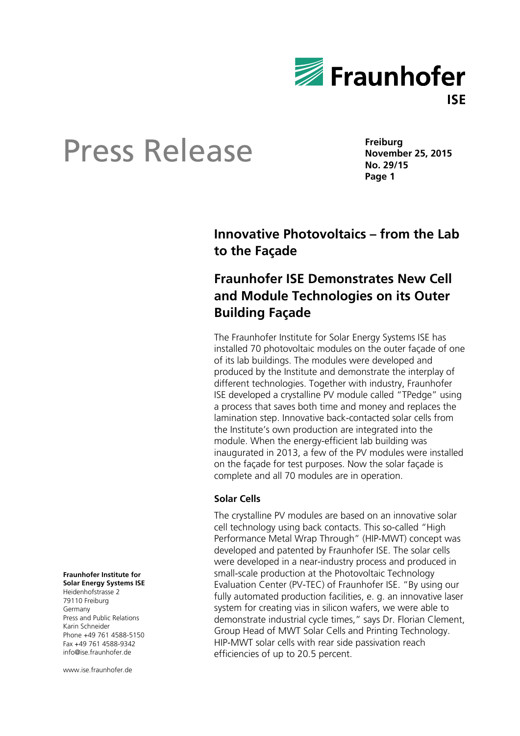

**Freiburg November 25, 2015 No. 29/15 Page 1** 

## **Innovative Photovoltaics – from the Lab to the Façade**

## **Fraunhofer ISE Demonstrates New Cell and Module Technologies on its Outer Building Façade**

The Fraunhofer Institute for Solar Energy Systems ISE has installed 70 photovoltaic modules on the outer façade of one of its lab buildings. The modules were developed and produced by the Institute and demonstrate the interplay of different technologies. Together with industry, Fraunhofer ISE developed a crystalline PV module called "TPedge" using a process that saves both time and money and replaces the lamination step. Innovative back-contacted solar cells from the Institute's own production are integrated into the module. When the energy-efficient lab building was inaugurated in 2013, a few of the PV modules were installed on the façade for test purposes. Now the solar façade is complete and all 70 modules are in operation.

### **Solar Cells**

The crystalline PV modules are based on an innovative solar cell technology using back contacts. This so-called "High Performance Metal Wrap Through" (HIP-MWT) concept was developed and patented by Fraunhofer ISE. The solar cells were developed in a near-industry process and produced in small-scale production at the Photovoltaic Technology Evaluation Center (PV-TEC) of Fraunhofer ISE. "By using our fully automated production facilities, e. g. an innovative laser system for creating vias in silicon wafers, we were able to demonstrate industrial cycle times," says Dr. Florian Clement, Group Head of MWT Solar Cells and Printing Technology. HIP-MWT solar cells with rear side passivation reach efficiencies of up to 20.5 percent.

**Fraunhofer Institute for Solar Energy Systems ISE** 

Heidenhofstrasse 2 79110 Freiburg Germany Press and Public Relations Karin Schneider Phone +49 761 4588-5150 Fax +49 761 4588-9342 info@ise.fraunhofer.de

www.ise.fraunhofer.de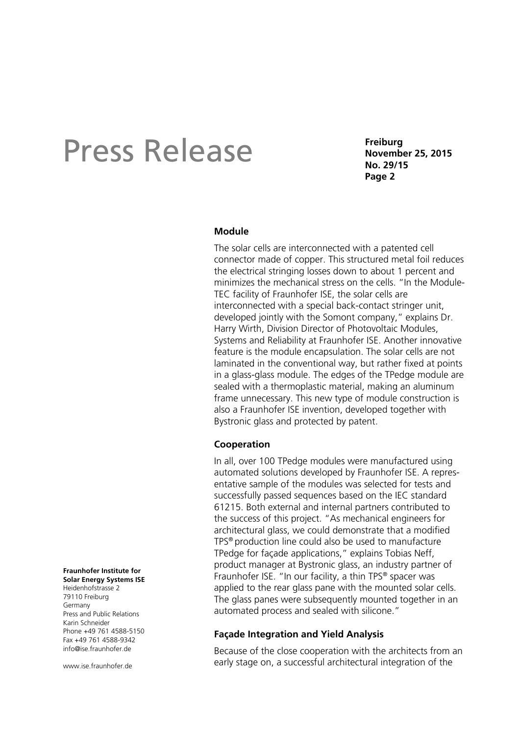**Freiburg November 25, 2015 No. 29/15 Page 2** 

#### **Module**

The solar cells are interconnected with a patented cell connector made of copper. This structured metal foil reduces the electrical stringing losses down to about 1 percent and minimizes the mechanical stress on the cells. "In the Module-TEC facility of Fraunhofer ISE, the solar cells are interconnected with a special back-contact stringer unit, developed jointly with the Somont company," explains Dr. Harry Wirth, Division Director of Photovoltaic Modules, Systems and Reliability at Fraunhofer ISE. Another innovative feature is the module encapsulation. The solar cells are not laminated in the conventional way, but rather fixed at points in a glass-glass module. The edges of the TPedge module are sealed with a thermoplastic material, making an aluminum frame unnecessary. This new type of module construction is also a Fraunhofer ISE invention, developed together with Bystronic glass and protected by patent.

### **Cooperation**

In all, over 100 TPedge modules were manufactured using automated solutions developed by Fraunhofer ISE. A representative sample of the modules was selected for tests and successfully passed sequences based on the IEC standard 61215. Both external and internal partners contributed to the success of this project. "As mechanical engineers for architectural glass, we could demonstrate that a modified TPS® production line could also be used to manufacture TPedge for façade applications," explains Tobias Neff, product manager at Bystronic glass, an industry partner of Fraunhofer ISE. "In our facility, a thin TPS® spacer was applied to the rear glass pane with the mounted solar cells. The glass panes were subsequently mounted together in an automated process and sealed with silicone."

#### **Façade Integration and Yield Analysis**

Because of the close cooperation with the architects from an early stage on, a successful architectural integration of the

**Solar Energy Systems ISE**  Heidenhofstrasse 2 79110 Freiburg Germany Press and Public Relations Karin Schneider Phone +49 761 4588-5150 Fax +49 761 4588-9342 info@ise.fraunhofer.de

**Fraunhofer Institute for** 

www.jse.fraunhofer.de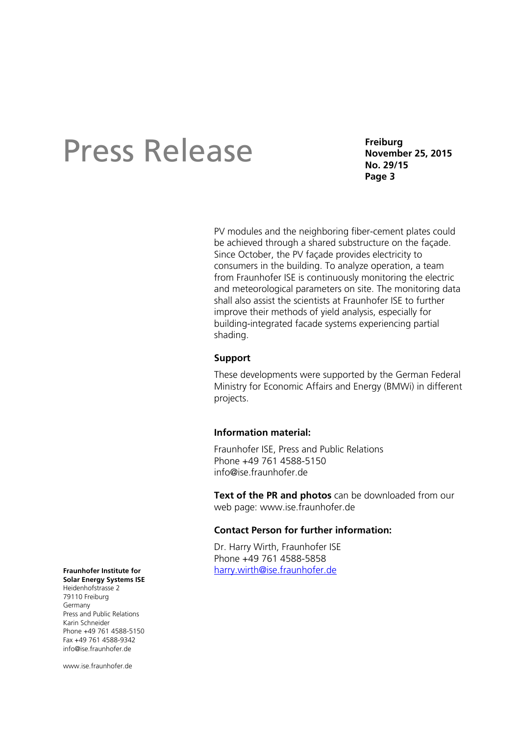**Freiburg November 25, 2015 No. 29/15 Page 3** 

PV modules and the neighboring fiber-cement plates could be achieved through a shared substructure on the façade. Since October, the PV façade provides electricity to consumers in the building. To analyze operation, a team from Fraunhofer ISE is continuously monitoring the electric and meteorological parameters on site. The monitoring data shall also assist the scientists at Fraunhofer ISE to further improve their methods of yield analysis, especially for building-integrated facade systems experiencing partial shading.

### **Support**

These developments were supported by the German Federal Ministry for Economic Affairs and Energy (BMWi) in different projects.

#### **Information material:**

Fraunhofer ISE, Press and Public Relations Phone +49 761 4588-5150 info@ise.fraunhofer.de

**Text of the PR and photos** can be downloaded from our web page: www.ise.fraunhofer.de

### **Contact Person for further information:**

Dr. Harry Wirth, Fraunhofer ISE Phone +49 761 4588-5858 harry.wirth@ise.fraunhofer.de

**Fraunhofer Institute for Solar Energy Systems ISE** 

Heidenhofstrasse 2 79110 Freiburg Germany Press and Public Relations Karin Schneider Phone +49 761 4588-5150 Fax +49 761 4588-9342 info@ise.fraunhofer.de

www.ise.fraunhofer.de